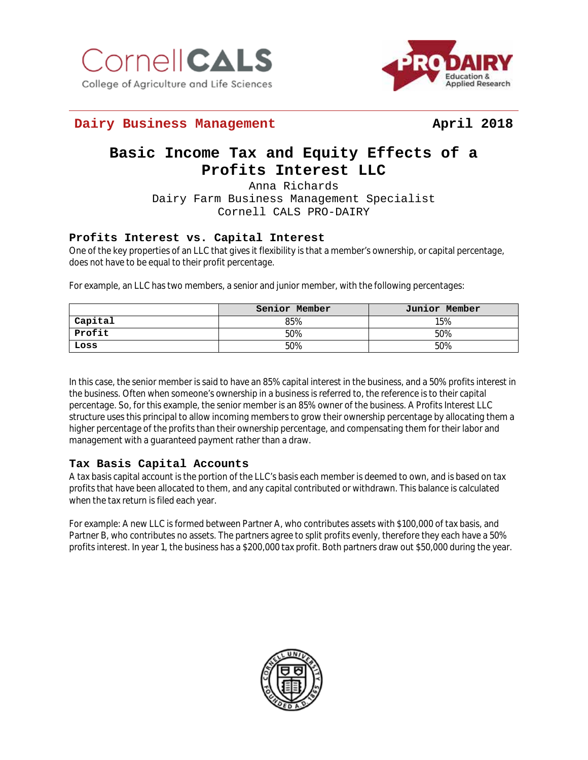



## **Dairy Business Management April 2018**

# **Basic Income Tax and Equity Effects of a Profits Interest LLC**

Anna Richards Dairy Farm Business Management Specialist Cornell CALS PRO-DAIRY

### **Profits Interest vs. Capital Interest**

One of the key properties of an LLC that gives it flexibility is that a member's ownership, or capital percentage, does not have to be equal to their profit percentage.

For example, an LLC has two members, a senior and junior member, with the following percentages:

|         | Senior Member | Junior Member |
|---------|---------------|---------------|
| Capital | 85%           | 15%           |
| Profit  | 50%           | 50%           |
| Loss    | 50%           | 50%           |

In this case, the senior member is said to have an 85% capital interest in the business, and a 50% profits interest in the business. Often when someone's ownership in a business is referred to, the reference is to their capital percentage. So, for this example, the senior member is an 85% owner of the business. A Profits Interest LLC structure uses this principal to allow incoming members to grow their ownership percentage by allocating them a higher percentage of the profits than their ownership percentage, and compensating them for their labor and management with a guaranteed payment rather than a draw.

### **Tax Basis Capital Accounts**

A tax basis capital account is the portion of the LLC's basis each member is deemed to own, and is based on tax profits that have been allocated to them, and any capital contributed or withdrawn. This balance is calculated when the tax return is filed each year.

For example: A new LLC is formed between Partner A, who contributes assets with \$100,000 of tax basis, and Partner B, who contributes no assets. The partners agree to split profits evenly, therefore they each have a 50% profits interest. In year 1, the business has a \$200,000 tax profit. Both partners draw out \$50,000 during the year.

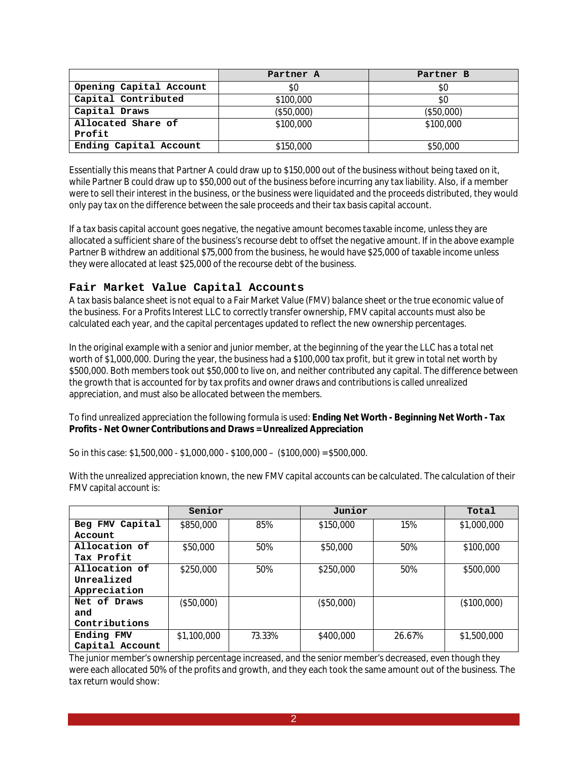|                         | Partner A  | Partner B  |
|-------------------------|------------|------------|
| Opening Capital Account | \$0        | \$0        |
| Capital Contributed     | \$100,000  | \$0        |
| Capital Draws           | (\$50,000) | (\$50,000) |
| Allocated Share of      | \$100,000  | \$100,000  |
| Profit                  |            |            |
| Ending Capital Account  | \$150,000  | \$50,000   |

Essentially this means that Partner A could draw up to \$150,000 out of the business without being taxed on it, while Partner B could draw up to \$50,000 out of the business before incurring any tax liability. Also, if a member were to sell their interest in the business, or the business were liquidated and the proceeds distributed, they would only pay tax on the difference between the sale proceeds and their tax basis capital account.

If a tax basis capital account goes negative, the negative amount becomes taxable income, unless they are allocated a sufficient share of the business's recourse debt to offset the negative amount. If in the above example Partner B withdrew an additional \$75,000 from the business, he would have \$25,000 of taxable income unless they were allocated at least \$25,000 of the recourse debt of the business.

#### **Fair Market Value Capital Accounts**

A tax basis balance sheet is not equal to a Fair Market Value (FMV) balance sheet or the true economic value of the business. For a Profits Interest LLC to correctly transfer ownership, FMV capital accounts must also be calculated each year, and the capital percentages updated to reflect the new ownership percentages.

In the original example with a senior and junior member, at the beginning of the year the LLC has a total net worth of \$1,000,000. During the year, the business had a \$100,000 tax profit, but it grew in total net worth by \$500,000. Both members took out \$50,000 to live on, and neither contributed any capital. The difference between the growth that is accounted for by tax profits and owner draws and contributions is called unrealized appreciation, and must also be allocated between the members.

To find unrealized appreciation the following formula is used: **Ending Net Worth - Beginning Net Worth - Tax Profits - Net Owner Contributions and Draws = Unrealized Appreciation**

So in this case: \$1,500,000 - \$1,000,000 - \$100,000 – (\$100,000) = \$500,000.

|                 | Senior      |        | Junior     | Total  |             |
|-----------------|-------------|--------|------------|--------|-------------|
| Beg FMV Capital | \$850,000   | 85%    | \$150,000  | 15%    | \$1,000,000 |
| Account         |             |        |            |        |             |
| Allocation of   | \$50,000    | 50%    | \$50,000   | 50%    | \$100,000   |
| Tax Profit      |             |        |            |        |             |
| Allocation of   | \$250,000   | 50%    | \$250,000  | 50%    | \$500,000   |
| Unrealized      |             |        |            |        |             |
| Appreciation    |             |        |            |        |             |
| Net of Draws    | (\$50,000)  |        | (\$50,000) |        | (\$100,000) |
| and             |             |        |            |        |             |
| Contributions   |             |        |            |        |             |
| Ending FMV      | \$1,100,000 | 73.33% | \$400,000  | 26.67% | \$1,500,000 |
| Capital Account |             |        |            |        |             |

With the unrealized appreciation known, the new FMV capital accounts can be calculated. The calculation of their FMV capital account is:

The junior member's ownership percentage increased, and the senior member's decreased, even though they were each allocated 50% of the profits and growth, and they each took the same amount out of the business. The tax return would show: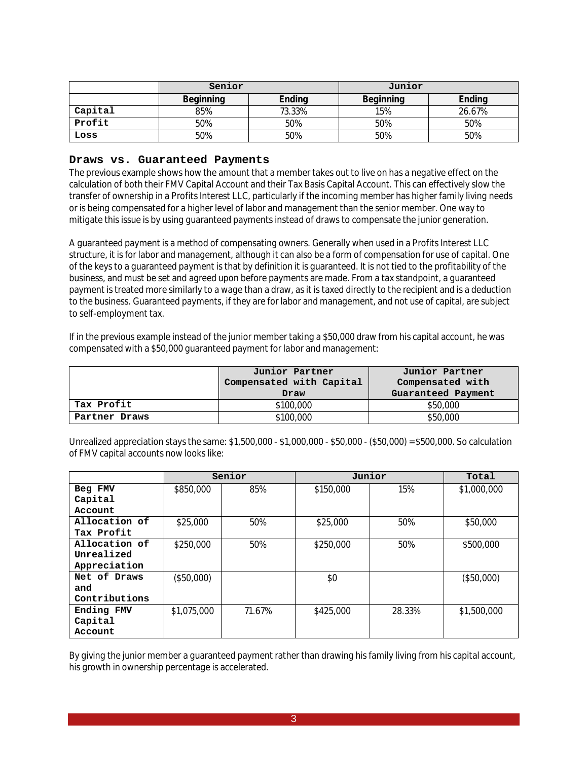|         | Senior                     |        | Junior    |        |  |
|---------|----------------------------|--------|-----------|--------|--|
|         | Ending<br><b>Beginning</b> |        | Beginning | Ending |  |
| Capital | 85%                        | 73.33% | 15%       | 26.67% |  |
| Profit  | 50%                        | 50%    | 50%       | 50%    |  |
| Loss    | 50%                        | 50%    | 50%       | 50%    |  |

#### **Draws vs. Guaranteed Payments**

The previous example shows how the amount that a member takes out to live on has a negative effect on the calculation of both their FMV Capital Account and their Tax Basis Capital Account. This can effectively slow the transfer of ownership in a Profits Interest LLC, particularly if the incoming member has higher family living needs or is being compensated for a higher level of labor and management than the senior member. One way to mitigate this issue is by using guaranteed payments instead of draws to compensate the junior generation.

A guaranteed payment is a method of compensating owners. Generally when used in a Profits Interest LLC structure, it is for labor and management, although it can also be a form of compensation for use of capital. One of the keys to a guaranteed payment is that by definition it is guaranteed. It is not tied to the profitability of the business, and must be set and agreed upon before payments are made. From a tax standpoint, a guaranteed payment is treated more similarly to a wage than a draw, as it is taxed directly to the recipient and is a deduction to the business. Guaranteed payments, if they are for labor and management, and not use of capital, are subject to self-employment tax.

If in the previous example instead of the junior member taking a \$50,000 draw from his capital account, he was compensated with a \$50,000 guaranteed payment for labor and management:

|               | Junior Partner<br>Compensated with Capital | Junior Partner<br>Compensated with |  |  |
|---------------|--------------------------------------------|------------------------------------|--|--|
|               | Draw                                       | Guaranteed Payment                 |  |  |
| Tax Profit    | \$100,000                                  | \$50,000                           |  |  |
| Partner Draws | \$100,000                                  | \$50,000                           |  |  |

Unrealized appreciation stays the same: \$1,500,000 - \$1,000,000 - \$50,000 - (\$50,000) = \$500,000. So calculation of FMV capital accounts now looks like:

|               | Senior      |        | Junior    |        | Total       |
|---------------|-------------|--------|-----------|--------|-------------|
| Beg FMV       | \$850,000   | 85%    | \$150,000 | 15%    | \$1,000,000 |
| Capital       |             |        |           |        |             |
| Account       |             |        |           |        |             |
| Allocation of | \$25,000    | 50%    | \$25,000  | 50%    | \$50,000    |
| Tax Profit    |             |        |           |        |             |
| Allocation of | \$250,000   | 50%    | \$250,000 | 50%    | \$500,000   |
| Unrealized    |             |        |           |        |             |
| Appreciation  |             |        |           |        |             |
| Net of Draws  | (\$50,000)  |        | \$0       |        | (\$50,000)  |
| and           |             |        |           |        |             |
| Contributions |             |        |           |        |             |
| Ending FMV    | \$1,075,000 | 71.67% | \$425,000 | 28.33% | \$1,500,000 |
| Capital       |             |        |           |        |             |
| Account       |             |        |           |        |             |

By giving the junior member a guaranteed payment rather than drawing his family living from his capital account, his growth in ownership percentage is accelerated.